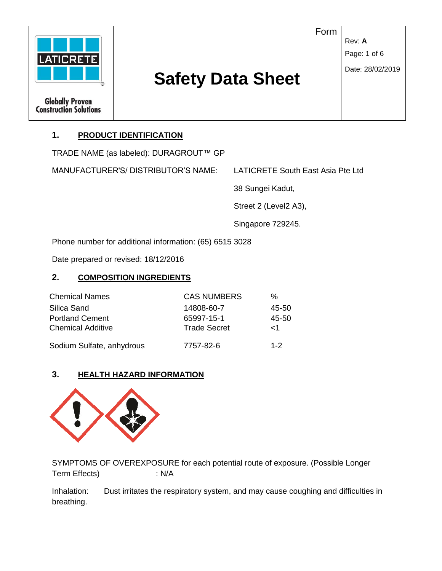|                                                         | Form                     |                        |
|---------------------------------------------------------|--------------------------|------------------------|
|                                                         |                          | Rev: A<br>Page: 1 of 6 |
| <b>LATICRETE</b>                                        |                          | Date: 28/02/2019       |
|                                                         | <b>Safety Data Sheet</b> |                        |
| <b>Globally Proven</b><br><b>Construction Solutions</b> |                          |                        |

# **1. PRODUCT IDENTIFICATION**

TRADE NAME (as labeled): DURAGROUT™ GP

MANUFACTURER'S/ DISTRIBUTOR'S NAME: LATICRETE South East Asia Pte Ltd

38 Sungei Kadut,

Street 2 (Level2 A3),

Singapore 729245.

Phone number for additional information: (65) 6515 3028

Date prepared or revised: 18/12/2016

## **2. COMPOSITION INGREDIENTS**

| <b>Chemical Names</b>     | <b>CAS NUMBERS</b>  | %        |
|---------------------------|---------------------|----------|
| Silica Sand               | 14808-60-7          | 45-50    |
| <b>Portland Cement</b>    | 65997-15-1          | 45-50    |
| <b>Chemical Additive</b>  | <b>Trade Secret</b> | $\leq$ 1 |
| Sodium Sulfate, anhydrous | 7757-82-6           | $1 - 2$  |

## **3. HEALTH HAZARD INFORMATION**



SYMPTOMS OF OVEREXPOSURE for each potential route of exposure. (Possible Longer Term Effects) : N/A

Inhalation: Dust irritates the respiratory system, and may cause coughing and difficulties in breathing.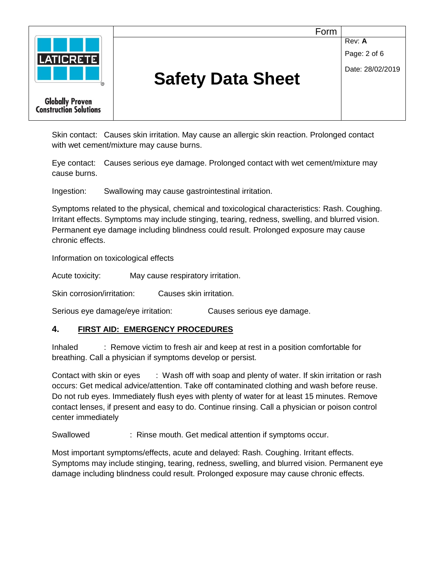

Skin contact: Causes skin irritation. May cause an allergic skin reaction. Prolonged contact with wet cement/mixture may cause burns.

Eye contact: Causes serious eye damage. Prolonged contact with wet cement/mixture may cause burns.

Ingestion: Swallowing may cause gastrointestinal irritation.

Symptoms related to the physical, chemical and toxicological characteristics: Rash. Coughing. Irritant effects. Symptoms may include stinging, tearing, redness, swelling, and blurred vision. Permanent eye damage including blindness could result. Prolonged exposure may cause chronic effects.

Information on toxicological effects

Acute toxicity: May cause respiratory irritation.

Skin corrosion/irritation: Causes skin irritation.

Serious eye damage/eye irritation: Causes serious eye damage.

#### **4. FIRST AID: EMERGENCY PROCEDURES**

Inhaled : Remove victim to fresh air and keep at rest in a position comfortable for breathing. Call a physician if symptoms develop or persist.

Contact with skin or eyes : Wash off with soap and plenty of water. If skin irritation or rash occurs: Get medical advice/attention. Take off contaminated clothing and wash before reuse. Do not rub eyes. Immediately flush eyes with plenty of water for at least 15 minutes. Remove contact lenses, if present and easy to do. Continue rinsing. Call a physician or poison control center immediately

Swallowed : Rinse mouth. Get medical attention if symptoms occur.

Most important symptoms/effects, acute and delayed: Rash. Coughing. Irritant effects. Symptoms may include stinging, tearing, redness, swelling, and blurred vision. Permanent eye damage including blindness could result. Prolonged exposure may cause chronic effects.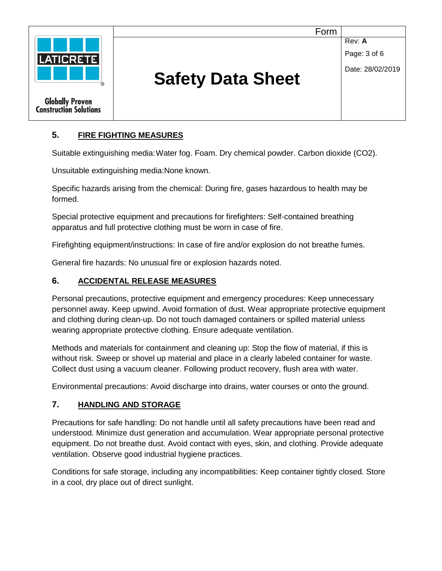

## **5. FIRE FIGHTING MEASURES**

Suitable extinguishing media:Water fog. Foam. Dry chemical powder. Carbon dioxide (CO2).

Unsuitable extinguishing media:None known.

Specific hazards arising from the chemical: During fire, gases hazardous to health may be formed.

Special protective equipment and precautions for firefighters: Self-contained breathing apparatus and full protective clothing must be worn in case of fire.

Firefighting equipment/instructions: In case of fire and/or explosion do not breathe fumes.

General fire hazards: No unusual fire or explosion hazards noted.

## **6. ACCIDENTAL RELEASE MEASURES**

Personal precautions, protective equipment and emergency procedures: Keep unnecessary personnel away. Keep upwind. Avoid formation of dust. Wear appropriate protective equipment and clothing during clean-up. Do not touch damaged containers or spilled material unless wearing appropriate protective clothing. Ensure adequate ventilation.

Methods and materials for containment and cleaning up: Stop the flow of material, if this is without risk. Sweep or shovel up material and place in a clearly labeled container for waste. Collect dust using a vacuum cleaner. Following product recovery, flush area with water.

Environmental precautions: Avoid discharge into drains, water courses or onto the ground.

#### **7. HANDLING AND STORAGE**

Precautions for safe handling: Do not handle until all safety precautions have been read and understood. Minimize dust generation and accumulation. Wear appropriate personal protective equipment. Do not breathe dust. Avoid contact with eyes, skin, and clothing. Provide adequate ventilation. Observe good industrial hygiene practices.

Conditions for safe storage, including any incompatibilities: Keep container tightly closed. Store in a cool, dry place out of direct sunlight.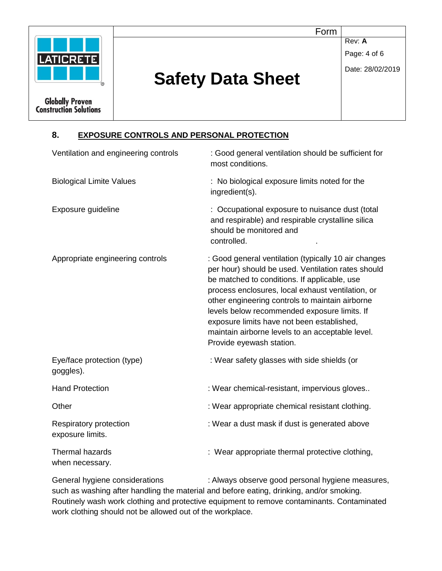

Form

**Rev: A** 

Page: 4 of 6

# Date: 28/02/2019

# **Safety Data Sheet**

**Construction Solutions** 

# **8. EXPOSURE CONTROLS AND PERSONAL PROTECTION**

| Ventilation and engineering controls       | : Good general ventilation should be sufficient for<br>most conditions.                                                                                                                                                                                                                                                                                                                                                                          |  |  |
|--------------------------------------------|--------------------------------------------------------------------------------------------------------------------------------------------------------------------------------------------------------------------------------------------------------------------------------------------------------------------------------------------------------------------------------------------------------------------------------------------------|--|--|
| <b>Biological Limite Values</b>            | : No biological exposure limits noted for the<br>ingredient(s).                                                                                                                                                                                                                                                                                                                                                                                  |  |  |
| Exposure guideline                         | : Occupational exposure to nuisance dust (total<br>and respirable) and respirable crystalline silica<br>should be monitored and<br>controlled.                                                                                                                                                                                                                                                                                                   |  |  |
| Appropriate engineering controls           | : Good general ventilation (typically 10 air changes<br>per hour) should be used. Ventilation rates should<br>be matched to conditions. If applicable, use<br>process enclosures, local exhaust ventilation, or<br>other engineering controls to maintain airborne<br>levels below recommended exposure limits. If<br>exposure limits have not been established,<br>maintain airborne levels to an acceptable level.<br>Provide eyewash station. |  |  |
| Eye/face protection (type)<br>goggles).    | : Wear safety glasses with side shields (or                                                                                                                                                                                                                                                                                                                                                                                                      |  |  |
| <b>Hand Protection</b>                     | : Wear chemical-resistant, impervious gloves                                                                                                                                                                                                                                                                                                                                                                                                     |  |  |
| Other                                      | : Wear appropriate chemical resistant clothing.                                                                                                                                                                                                                                                                                                                                                                                                  |  |  |
| Respiratory protection<br>exposure limits. | : Wear a dust mask if dust is generated above                                                                                                                                                                                                                                                                                                                                                                                                    |  |  |
| <b>Thermal hazards</b><br>when necessary.  | : Wear appropriate thermal protective clothing,                                                                                                                                                                                                                                                                                                                                                                                                  |  |  |

General hygiene considerations : Always observe good personal hygiene measures, such as washing after handling the material and before eating, drinking, and/or smoking. Routinely wash work clothing and protective equipment to remove contaminants. Contaminated work clothing should not be allowed out of the workplace.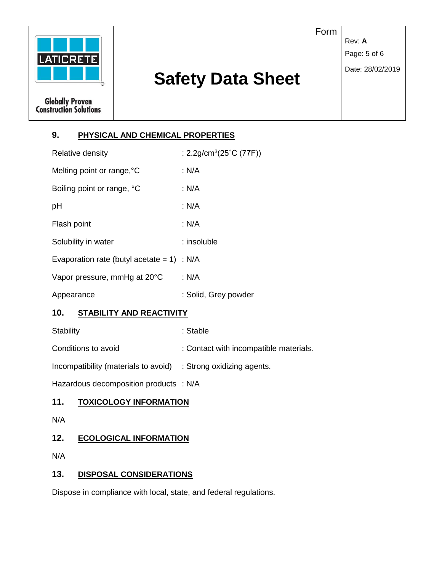

# **9. PHYSICAL AND CHEMICAL PROPERTIES**

| Relative density                              | : $2.2$ g/cm <sup>3</sup> (25 <sup>°</sup> C (77F)) |  |
|-----------------------------------------------|-----------------------------------------------------|--|
| Melting point or range, °C                    | : N/A                                               |  |
| Boiling point or range, °C                    | : N/A                                               |  |
| рH                                            | : N/A                                               |  |
| Flash point                                   | : N/A                                               |  |
| Solubility in water                           | : insoluble                                         |  |
| Evaporation rate (butyl acetate = $1$ ) : N/A |                                                     |  |
| Vapor pressure, mmHg at 20°C                  | : N/A                                               |  |
| Appearance                                    | : Solid, Grey powder                                |  |

## **10. STABILITY AND REACTIVITY**

Stability : Stable : Stable

Conditions to avoid : Contact with incompatible materials.

Incompatibility (materials to avoid) : Strong oxidizing agents.

Hazardous decomposition products : N/A

## **11. TOXICOLOGY INFORMATION**

N/A

## **12. ECOLOGICAL INFORMATION**

N/A

## **13. DISPOSAL CONSIDERATIONS**

Dispose in compliance with local, state, and federal regulations.